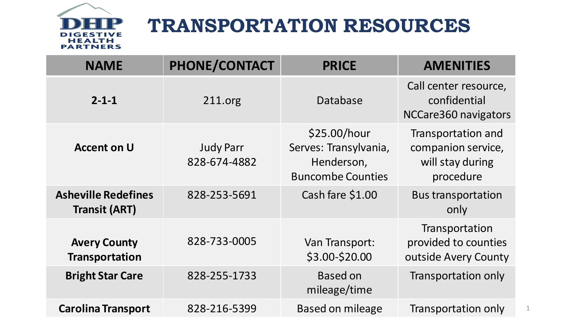

## **TRANSPORTATION RESOURCES**

| <b>NAME</b>                                        | PHONE/CONTACT                    | <b>PRICE</b>                                                                    | <b>AMENITIES</b>                                                          |
|----------------------------------------------------|----------------------------------|---------------------------------------------------------------------------------|---------------------------------------------------------------------------|
| $2 - 1 - 1$                                        | 211.org                          | Database                                                                        | Call center resource,<br>confidential<br>NCCare360 navigators             |
| <b>Accent on U</b>                                 | <b>Judy Parr</b><br>828-674-4882 | \$25.00/hour<br>Serves: Transylvania,<br>Henderson,<br><b>Buncombe Counties</b> | Transportation and<br>companion service,<br>will stay during<br>procedure |
| <b>Asheville Redefines</b><br><b>Transit (ART)</b> | 828-253-5691                     | Cash fare \$1.00                                                                | <b>Bus transportation</b><br>only                                         |
| <b>Avery County</b><br><b>Transportation</b>       | 828-733-0005                     | Van Transport:<br>\$3.00-\$20.00                                                | Transportation<br>provided to counties<br>outside Avery County            |
| <b>Bright Star Care</b>                            | 828-255-1733                     | <b>Based on</b><br>mileage/time                                                 | Transportation only                                                       |
| <b>Carolina Transport</b>                          | 828-216-5399                     | <b>Based on mileage</b>                                                         | Transportation only                                                       |

1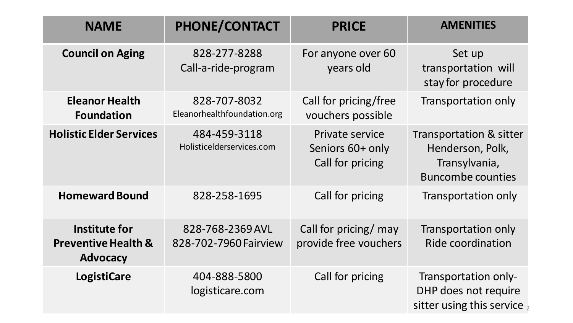| <b>NAME</b>                                                        | <b>PHONE/CONTACT</b>                        | <b>PRICE</b>                                            | <b>AMENITIES</b>                                                                         |
|--------------------------------------------------------------------|---------------------------------------------|---------------------------------------------------------|------------------------------------------------------------------------------------------|
| <b>Council on Aging</b>                                            | 828-277-8288<br>Call-a-ride-program         | For anyone over 60<br>years old                         | Set up<br>transportation will<br>stay for procedure                                      |
| <b>Eleanor Health</b><br><b>Foundation</b>                         | 828-707-8032<br>Eleanorhealthfoundation.org | Call for pricing/free<br>vouchers possible              | Transportation only                                                                      |
| <b>Holistic Elder Services</b>                                     | 484-459-3118<br>Holisticelderservices.com   | Private service<br>Seniors 60+ only<br>Call for pricing | Transportation & sitter<br>Henderson, Polk,<br>Transylvania,<br><b>Buncombe counties</b> |
| <b>Homeward Bound</b>                                              | 828-258-1695                                | Call for pricing                                        | Transportation only                                                                      |
| Institute for<br><b>Preventive Health &amp;</b><br><b>Advocacy</b> | 828-768-2369 AVL<br>828-702-7960 Fairview   | Call for pricing/ may<br>provide free vouchers          | Transportation only<br><b>Ride coordination</b>                                          |
| <b>LogistiCare</b>                                                 | 404-888-5800<br>logisticare.com             | Call for pricing                                        | Transportation only-<br>DHP does not require<br>sitter using this service $_2$           |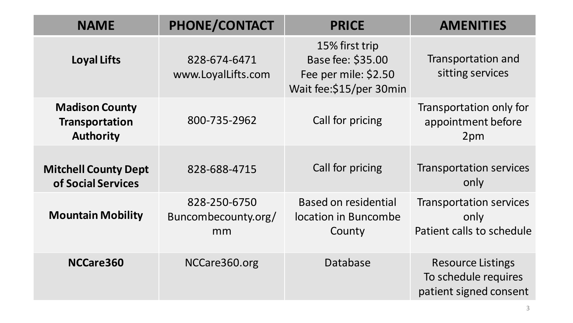| <b>NAME</b>                                                        | PHONE/CONTACT                             | <b>PRICE</b>                                                                            | <b>AMENITIES</b>                                                           |
|--------------------------------------------------------------------|-------------------------------------------|-----------------------------------------------------------------------------------------|----------------------------------------------------------------------------|
| <b>Loyal Lifts</b>                                                 | 828-674-6471<br>www.LoyalLifts.com        | 15% first trip<br>Base fee: \$35.00<br>Fee per mile: \$2.50<br>Wait fee: \$15/per 30min | Transportation and<br>sitting services                                     |
| <b>Madison County</b><br><b>Transportation</b><br><b>Authority</b> | 800-735-2962                              | Call for pricing                                                                        | Transportation only for<br>appointment before<br>2pm                       |
| <b>Mitchell County Dept</b><br>of Social Services                  | 828-688-4715                              | Call for pricing                                                                        | <b>Transportation services</b><br>only                                     |
| <b>Mountain Mobility</b>                                           | 828-250-6750<br>Buncombecounty.org/<br>mm | <b>Based on residential</b><br>location in Buncombe<br>County                           | <b>Transportation services</b><br>only<br>Patient calls to schedule        |
| NCCare360                                                          | NCCare360.org                             | Database                                                                                | <b>Resource Listings</b><br>To schedule requires<br>patient signed consent |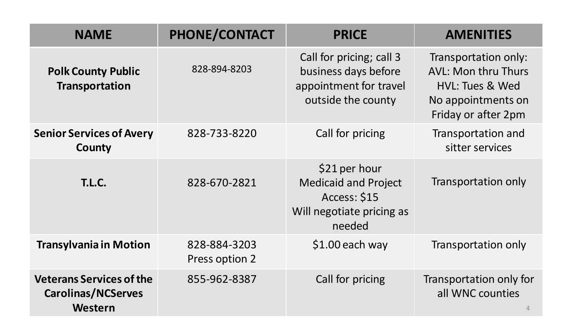| <b>NAME</b>                                                             | PHONE/CONTACT                  | <b>PRICE</b>                                                                                        | <b>AMENITIES</b>                                                                                                   |
|-------------------------------------------------------------------------|--------------------------------|-----------------------------------------------------------------------------------------------------|--------------------------------------------------------------------------------------------------------------------|
| <b>Polk County Public</b><br><b>Transportation</b>                      | 828-894-8203                   | Call for pricing; call 3<br>business days before<br>appointment for travel<br>outside the county    | Transportation only:<br><b>AVL: Mon thru Thurs</b><br>HVL: Tues & Wed<br>No appointments on<br>Friday or after 2pm |
| <b>Senior Services of Avery</b><br>County                               | 828-733-8220                   | Call for pricing                                                                                    | Transportation and<br>sitter services                                                                              |
| <b>T.L.C.</b>                                                           | 828-670-2821                   | \$21 per hour<br><b>Medicaid and Project</b><br>Access: \$15<br>Will negotiate pricing as<br>needed | Transportation only                                                                                                |
| <b>Transylvania in Motion</b>                                           | 828-884-3203<br>Press option 2 | \$1.00 each way                                                                                     | Transportation only                                                                                                |
| <b>Veterans Services of the</b><br><b>Carolinas/NCServes</b><br>Western | 855-962-8387                   | Call for pricing                                                                                    | Transportation only for<br>all WNC counties                                                                        |